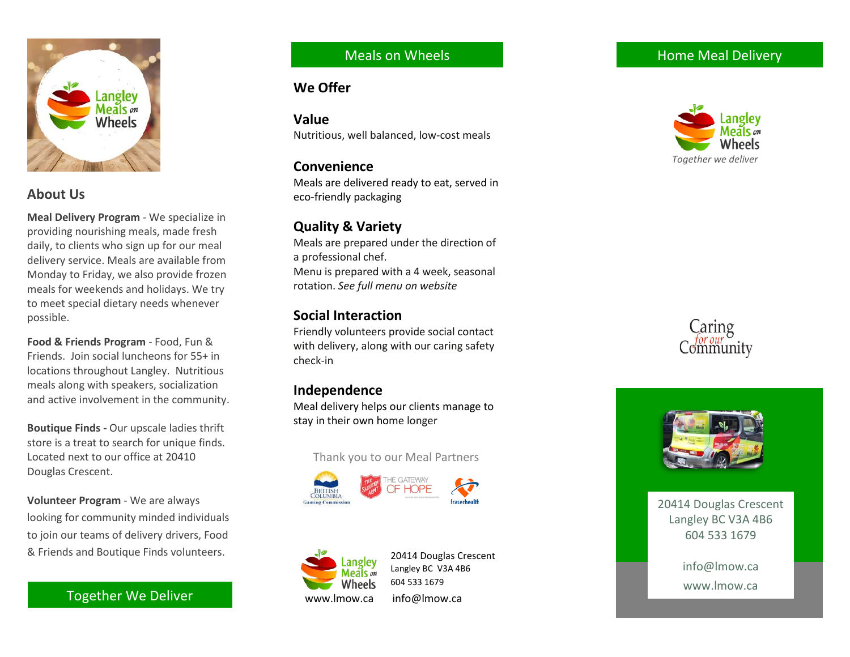

# **About Us**

**Meal Delivery Program** - We specialize in providing nourishing meals, made fresh daily, to clients who sign up for our meal delivery service. Meals are available from Monday to Friday, we also provide frozen meals for weekends and holidays. We try to meet special dietary needs whenever possible.

**Food & Friends Program** - Food, Fun & Friends. Join social luncheons for 55+ in locations throughout Langley. Nutritious meals along with speakers, socialization and active involvement in the community.

**Boutique Finds -** Our upscale ladies thrift store is a treat to search for unique finds. Located next to our office at 20410 Douglas Crescent.

**Volunteer Program**  - We are always looking for community minded individuals to join our team s of delivery drivers, Food & Friends and Boutique Finds volunteers.

Together We Deliver

### Meals on Wheels

#### **We Offer**

**Value** Nutritious, well balanced, low -cost meals

#### **Convenience**

Meals are delivered ready to eat, served in eco -friendly packaging

# **Quality & Variety**

Meals are prepared under the direction of a professional chef. Menu is prepared with a 4 week , seasonal rotation. *See full menu on website*

# **Social Interaction**

Friendly volunteers provide social contact with delivery, along with our caring safety check -in

# **Independence**

Meal delivery helps our clients manage to stay in their own home longer

Thank you to our Meal Partners





20414 Douglas Crescent Langley BC V3A 4B6 604 533 1679 www.lmow.ca info@lmow.ca







20414 Douglas Crescent Langley BC V3A 4B6 604 533 1679

> info@lmow.ca www.lmow.ca

# Home Meal Delivery